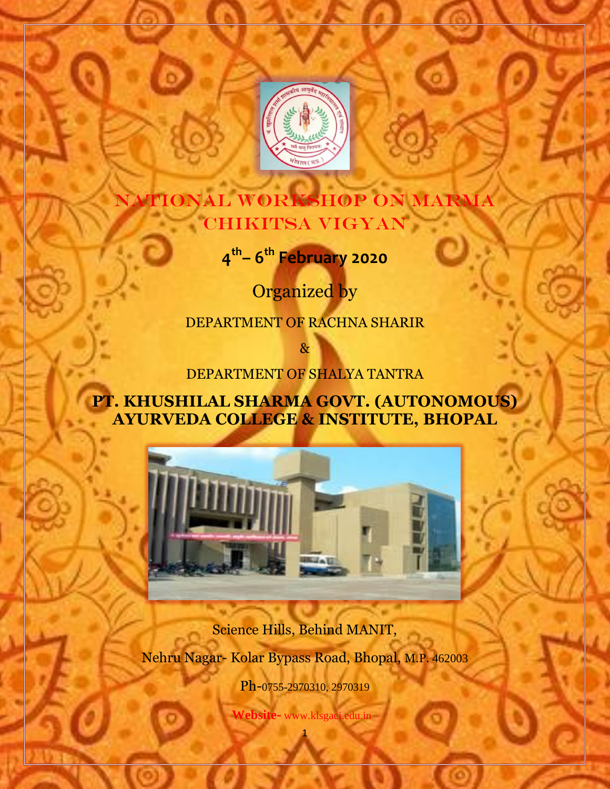

# TIONAL WORKSHOP ON MARMA CHIKITSA VIGYAN

**4 th – 6 th February 2020**

Organized by

DEPARTMENT OF RACHNA SHARIR

&

DEPARTMENT OF SHALYA TANTRA

**PT. KHUSHILAL SHARMA GOVT. (AUTONOMOUS) AYURVEDA COLLEGE & INSTITUTE, BHOPAL**



Science Hills, Behind MANIT, Nehru Nagar- Kolar Bypass Road, Bhopal, M.P. 462003

Ph-0755-2970310, 2970319

1  **Website-** www.klsgaci.edu.in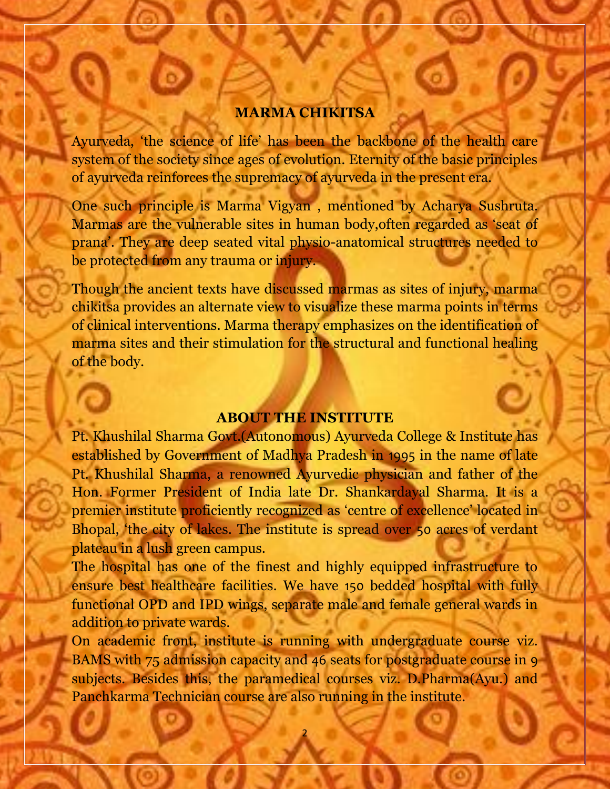#### **MARMA CHIKITSA**

Ayurveda, 'the science of life' has been the backbone of the health care system of the society since ages of evolution. Eternity of the basic principles of ayurveda reinforces the supremacy of ayurveda in the present era.

One such principle is Marma Vigyan , mentioned by Acharya Sushruta. Marmas are the vulnerable sites in human body,often regarded as 'seat of prana'. They are deep seated vital physio-anatomical structures needed to be protected from any trauma or injury.

Though the ancient texts have discussed marmas as sites of injury, marma chikitsa provides an alternate view to visualize these marma points in terms of clinical interventions. Marma therapy emphasizes on the identification of marma sites and their stimulation for the structural and functional healing of the body.

### **ABOUT THE INSTITUTE**

Pt. Khushilal Sharma Govt.(Autonomous) Ayurveda College & Institute has established by Government of Madhya Pradesh in 1995 in the name of late Pt. Khushilal Sharma, a renowned Ayurvedic physician and father of the Hon. Former President of India late Dr. Shankardayal Sharma. It is a premier institute proficiently recognized as 'centre of excellence' located in Bhopal, 'the city of lakes. The institute is spread over 50 acres of verdant plateau in a lush green campus.

The hospital has one of the finest and highly equipped infrastructure to ensure best healthcare facilities. We have 150 bedded hospital with fully functional OPD and IPD wings, separate male and female general wards in addition to private wards.

On academic front, institute is running with undergraduate course viz. BAMS with 75 admission capacity and 46 seats for postgraduate course in 9 subjects. Besides this, the paramedical courses viz. D.Pharma(Ayu.) and Panchkarma Technician course are also running in the institute.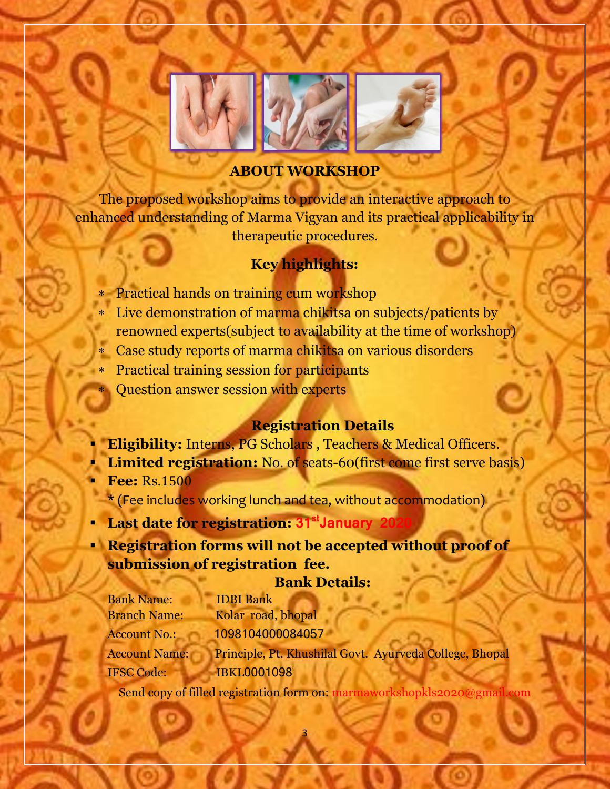

# **ABOUT WORKSHOP**

The proposed workshop aims to provide an interactive approach to enhanced understanding of Marma Vigyan and its practical applicability in therapeutic procedures.

# **Key highlights:**

- Practical hands on training cum workshop
- Live demonstration of marma chikitsa on subjects/patients by
- renowned experts(subject to availability at the time of workshop)
- Case study reports of marma chikitsa on various disorders
- Practical training session for participants
- Question answer session with experts

# **Registration Details**

- **Eligibility:** Interns, PG Scholars , Teachers & Medical Officers.
- **Limited registration:** No. of seats-60(first come first serve basis)
- **Fee:** Rs.1500 \* (Fee includes working lunch and tea, without accommodation)
- **Last date for registration: 31<sup>st</sup> January 20**
- **Registration forms will not be accepted without proof of submission of registration fee.**

## **Bank Details:**

| <b>Bank Name:</b>    | <b>IDBI</b> Bank                                        |
|----------------------|---------------------------------------------------------|
| <b>Branch Name:</b>  | Kolar road, bhopal                                      |
| <b>Account No.:</b>  | 1098104000084057                                        |
| <b>Account Name:</b> | Principle, Pt. Khushilal Govt. Ayurveda College, Bhopal |
| <b>IFSC Code:</b>    | <b>IBKL0001098</b>                                      |

Send copy of filled registration form on: marmaworkshopkls2020@gmail.com

3